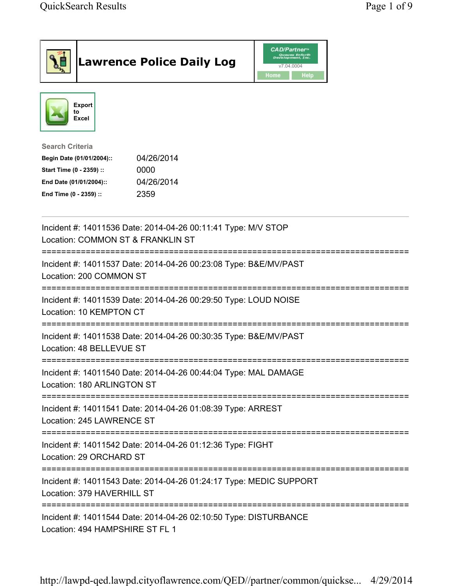| <b>Lawrence Police Daily Log</b>                                                                                                                                                 | <b>CAD/Partner</b> "<br>Queues Enforth<br>Development, Inc.<br>v7.04.0004<br>Home<br><b>Help</b> |
|----------------------------------------------------------------------------------------------------------------------------------------------------------------------------------|--------------------------------------------------------------------------------------------------|
| Export<br>to<br><b>Excel</b>                                                                                                                                                     |                                                                                                  |
| <b>Search Criteria</b><br>04/26/2014<br>Begin Date (01/01/2004)::<br>Start Time (0 - 2359) ::<br>0000<br>04/26/2014<br>End Date (01/01/2004)::<br>2359<br>End Time (0 - 2359) :: |                                                                                                  |
| Incident #: 14011536 Date: 2014-04-26 00:11:41 Type: M/V STOP<br>Location: COMMON ST & FRANKLIN ST                                                                               |                                                                                                  |
| =============================<br>Incident #: 14011537 Date: 2014-04-26 00:23:08 Type: B&E/MV/PAST<br>Location: 200 COMMON ST                                                     |                                                                                                  |
| Incident #: 14011539 Date: 2014-04-26 00:29:50 Type: LOUD NOISE<br>Location: 10 KEMPTON CT                                                                                       |                                                                                                  |
| Incident #: 14011538 Date: 2014-04-26 00:30:35 Type: B&E/MV/PAST<br>Location: 48 BELLEVUE ST                                                                                     |                                                                                                  |
| Incident #: 14011540 Date: 2014-04-26 00:44:04 Type: MAL DAMAGE<br>Location: 180 ARLINGTON ST                                                                                    |                                                                                                  |
| Incident #: 14011541 Date: 2014-04-26 01:08:39 Type: ARREST<br>Location: 245 LAWRENCE ST                                                                                         |                                                                                                  |
| Incident #: 14011542 Date: 2014-04-26 01:12:36 Type: FIGHT<br>Location: 29 ORCHARD ST                                                                                            |                                                                                                  |
| Incident #: 14011543 Date: 2014-04-26 01:24:17 Type: MEDIC SUPPORT<br>Location: 379 HAVERHILL ST                                                                                 |                                                                                                  |
| Incident #: 14011544 Date: 2014-04-26 02:10:50 Type: DISTURBANCE<br>Location: 494 HAMPSHIRE ST FL 1                                                                              |                                                                                                  |

http://lawpd-qed.lawpd.cityoflawrence.com/QED//partner/common/quickse... 4/29/2014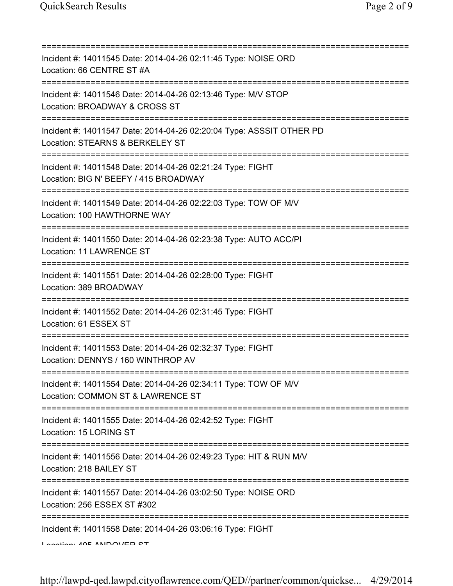| Incident #: 14011545 Date: 2014-04-26 02:11:45 Type: NOISE ORD<br>Location: 66 CENTRE ST #A                                             |
|-----------------------------------------------------------------------------------------------------------------------------------------|
| Incident #: 14011546 Date: 2014-04-26 02:13:46 Type: M/V STOP<br>Location: BROADWAY & CROSS ST<br>===========================           |
| Incident #: 14011547 Date: 2014-04-26 02:20:04 Type: ASSSIT OTHER PD<br>Location: STEARNS & BERKELEY ST                                 |
| Incident #: 14011548 Date: 2014-04-26 02:21:24 Type: FIGHT<br>Location: BIG N' BEEFY / 415 BROADWAY<br>========================         |
| Incident #: 14011549 Date: 2014-04-26 02:22:03 Type: TOW OF M/V<br>Location: 100 HAWTHORNE WAY                                          |
| Incident #: 14011550 Date: 2014-04-26 02:23:38 Type: AUTO ACC/PI<br>Location: 11 LAWRENCE ST<br>=====================================   |
| Incident #: 14011551 Date: 2014-04-26 02:28:00 Type: FIGHT<br>Location: 389 BROADWAY                                                    |
| Incident #: 14011552 Date: 2014-04-26 02:31:45 Type: FIGHT<br>Location: 61 ESSEX ST                                                     |
| Incident #: 14011553 Date: 2014-04-26 02:32:37 Type: FIGHT<br>Location: DENNYS / 160 WINTHROP AV                                        |
| Incident #: 14011554 Date: 2014-04-26 02:34:11 Type: TOW OF M/V<br>Location: COMMON ST & LAWRENCE ST                                    |
| Incident #: 14011555 Date: 2014-04-26 02:42:52 Type: FIGHT<br>Location: 15 LORING ST                                                    |
| Incident #: 14011556 Date: 2014-04-26 02:49:23 Type: HIT & RUN M/V<br>Location: 218 BAILEY ST                                           |
| ;=====================================<br>Incident #: 14011557 Date: 2014-04-26 03:02:50 Type: NOISE ORD<br>Location: 256 ESSEX ST #302 |
| Incident #: 14011558 Date: 2014-04-26 03:06:16 Type: FIGHT<br>$I$ and $I$ and $I$ and $I$ and $I$ and $I$ and $I$ and $I$               |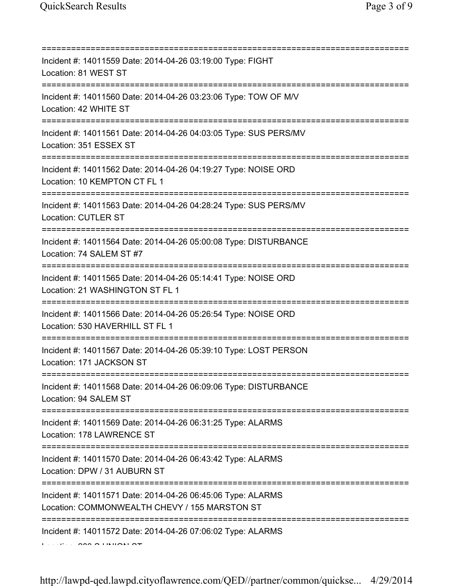| Incident #: 14011559 Date: 2014-04-26 03:19:00 Type: FIGHT<br>Location: 81 WEST ST                                               |
|----------------------------------------------------------------------------------------------------------------------------------|
| Incident #: 14011560 Date: 2014-04-26 03:23:06 Type: TOW OF M/V<br>Location: 42 WHITE ST<br>==================================== |
| Incident #: 14011561 Date: 2014-04-26 04:03:05 Type: SUS PERS/MV<br>Location: 351 ESSEX ST                                       |
| Incident #: 14011562 Date: 2014-04-26 04:19:27 Type: NOISE ORD<br>Location: 10 KEMPTON CT FL 1                                   |
| Incident #: 14011563 Date: 2014-04-26 04:28:24 Type: SUS PERS/MV<br><b>Location: CUTLER ST</b>                                   |
| Incident #: 14011564 Date: 2014-04-26 05:00:08 Type: DISTURBANCE<br>Location: 74 SALEM ST #7                                     |
| Incident #: 14011565 Date: 2014-04-26 05:14:41 Type: NOISE ORD<br>Location: 21 WASHINGTON ST FL 1                                |
| Incident #: 14011566 Date: 2014-04-26 05:26:54 Type: NOISE ORD<br>Location: 530 HAVERHILL ST FL 1                                |
| Incident #: 14011567 Date: 2014-04-26 05:39:10 Type: LOST PERSON<br>Location: 171 JACKSON ST                                     |
| Incident #: 14011568 Date: 2014-04-26 06:09:06 Type: DISTURBANCE<br>Location: 94 SALEM ST                                        |
| ===================================<br>Incident #: 14011569 Date: 2014-04-26 06:31:25 Type: ALARMS<br>Location: 178 LAWRENCE ST  |
| Incident #: 14011570 Date: 2014-04-26 06:43:42 Type: ALARMS<br>Location: DPW / 31 AUBURN ST                                      |
| :============<br>Incident #: 14011571 Date: 2014-04-26 06:45:06 Type: ALARMS<br>Location: COMMONWEALTH CHEVY / 155 MARSTON ST    |
| Incident #: 14011572 Date: 2014-04-26 07:06:02 Type: ALARMS                                                                      |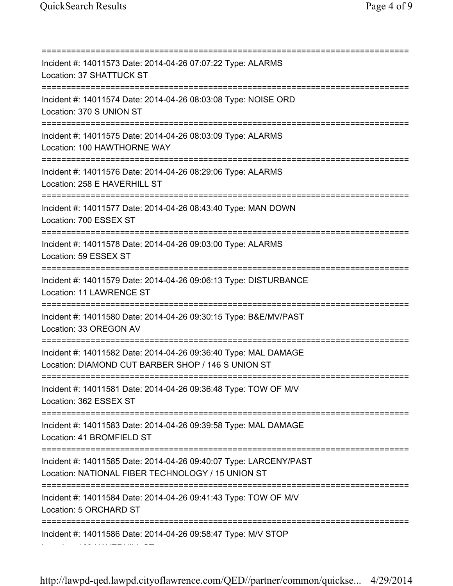=========================================================================== Incident #: 14011573 Date: 2014-04-26 07:07:22 Type: ALARMS Location: 37 SHATTUCK ST =========================================================================== Incident #: 14011574 Date: 2014-04-26 08:03:08 Type: NOISE ORD Location: 370 S UNION ST =========================================================================== Incident #: 14011575 Date: 2014-04-26 08:03:09 Type: ALARMS Location: 100 HAWTHORNE WAY =========================================================================== Incident #: 14011576 Date: 2014-04-26 08:29:06 Type: ALARMS Location: 258 E HAVERHILL ST =========================================================================== Incident #: 14011577 Date: 2014-04-26 08:43:40 Type: MAN DOWN Location: 700 ESSEX ST =========================================================================== Incident #: 14011578 Date: 2014-04-26 09:03:00 Type: ALARMS Location: 59 ESSEX ST =========================================================================== Incident #: 14011579 Date: 2014-04-26 09:06:13 Type: DISTURBANCE Location: 11 LAWRENCE ST =========================================================================== Incident #: 14011580 Date: 2014-04-26 09:30:15 Type: B&E/MV/PAST Location: 33 OREGON AV =========================================================================== Incident #: 14011582 Date: 2014-04-26 09:36:40 Type: MAL DAMAGE Location: DIAMOND CUT BARBER SHOP / 146 S UNION ST =========================================================================== Incident #: 14011581 Date: 2014-04-26 09:36:48 Type: TOW OF M/V Location: 362 ESSEX ST =========================================================================== Incident #: 14011583 Date: 2014-04-26 09:39:58 Type: MAL DAMAGE Location: 41 BROMFIELD ST =========================================================================== Incident #: 14011585 Date: 2014-04-26 09:40:07 Type: LARCENY/PAST Location: NATIONAL FIBER TECHNOLOGY / 15 UNION ST =========================================================================== Incident #: 14011584 Date: 2014-04-26 09:41:43 Type: TOW OF M/V Location: 5 ORCHARD ST =========================================================================== Incident #: 14011586 Date: 2014-04-26 09:58:47 Type: M/V STOP Location: 169 HAVERHILL ST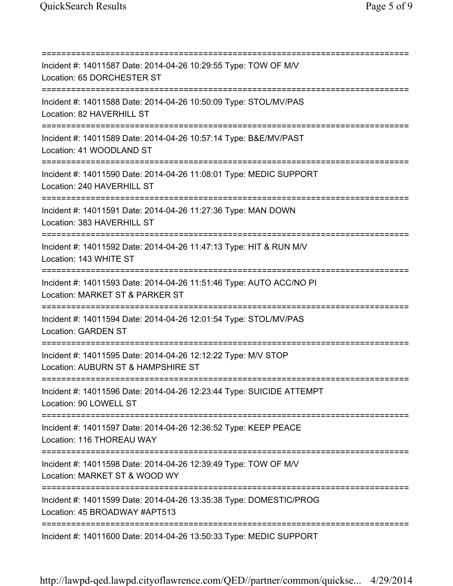=========================================================================== Incident #: 14011587 Date: 2014-04-26 10:29:55 Type: TOW OF M/V Location: 65 DORCHESTER ST =========================================================================== Incident #: 14011588 Date: 2014-04-26 10:50:09 Type: STOL/MV/PAS Location: 82 HAVERHILL ST =========================================================================== Incident #: 14011589 Date: 2014-04-26 10:57:14 Type: B&E/MV/PAST Location: 41 WOODLAND ST =========================================================================== Incident #: 14011590 Date: 2014-04-26 11:08:01 Type: MEDIC SUPPORT Location: 240 HAVERHILL ST =========================================================================== Incident #: 14011591 Date: 2014-04-26 11:27:36 Type: MAN DOWN Location: 383 HAVERHILL ST =========================================================================== Incident #: 14011592 Date: 2014-04-26 11:47:13 Type: HIT & RUN M/V Location: 143 WHITE ST =========================================================================== Incident #: 14011593 Date: 2014-04-26 11:51:46 Type: AUTO ACC/NO PI Location: MARKET ST & PARKER ST =========================================================================== Incident #: 14011594 Date: 2014-04-26 12:01:54 Type: STOL/MV/PAS Location: GARDEN ST =========================================================================== Incident #: 14011595 Date: 2014-04-26 12:12:22 Type: M/V STOP Location: AUBURN ST & HAMPSHIRE ST =========================================================================== Incident #: 14011596 Date: 2014-04-26 12:23:44 Type: SUICIDE ATTEMPT Location: 90 LOWELL ST =========================================================================== Incident #: 14011597 Date: 2014-04-26 12:36:52 Type: KEEP PEACE Location: 116 THOREAU WAY =========================================================================== Incident #: 14011598 Date: 2014-04-26 12:39:49 Type: TOW OF M/V Location: MARKET ST & WOOD WY =========================================================================== Incident #: 14011599 Date: 2014-04-26 13:35:38 Type: DOMESTIC/PROG Location: 45 BROADWAY #APT513 =========================================================================== Incident #: 14011600 Date: 2014-04-26 13:50:33 Type: MEDIC SUPPORT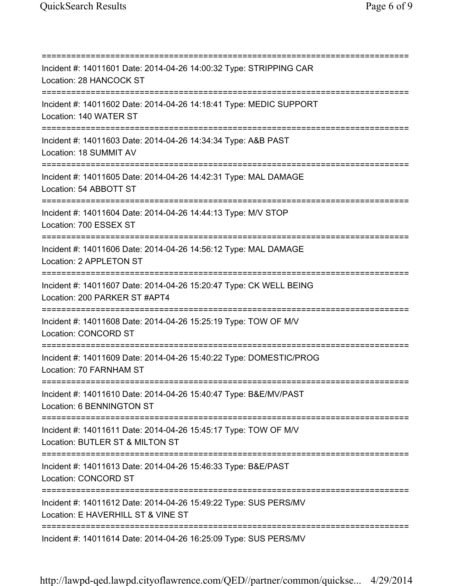=========================================================================== Incident #: 14011601 Date: 2014-04-26 14:00:32 Type: STRIPPING CAR Location: 28 HANCOCK ST =========================================================================== Incident #: 14011602 Date: 2014-04-26 14:18:41 Type: MEDIC SUPPORT Location: 140 WATER ST =========================================================================== Incident #: 14011603 Date: 2014-04-26 14:34:34 Type: A&B PAST Location: 18 SUMMIT AV =========================================================================== Incident #: 14011605 Date: 2014-04-26 14:42:31 Type: MAL DAMAGE Location: 54 ABBOTT ST =========================================================================== Incident #: 14011604 Date: 2014-04-26 14:44:13 Type: M/V STOP Location: 700 ESSEX ST =========================================================================== Incident #: 14011606 Date: 2014-04-26 14:56:12 Type: MAL DAMAGE Location: 2 APPLETON ST =========================================================================== Incident #: 14011607 Date: 2014-04-26 15:20:47 Type: CK WELL BEING Location: 200 PARKER ST #APT4 =========================================================================== Incident #: 14011608 Date: 2014-04-26 15:25:19 Type: TOW OF M/V Location: CONCORD ST =========================================================================== Incident #: 14011609 Date: 2014-04-26 15:40:22 Type: DOMESTIC/PROG Location: 70 FARNHAM ST =========================================================================== Incident #: 14011610 Date: 2014-04-26 15:40:47 Type: B&E/MV/PAST Location: 6 BENNINGTON ST =========================================================================== Incident #: 14011611 Date: 2014-04-26 15:45:17 Type: TOW OF M/V Location: BUTLER ST & MILTON ST =========================================================================== Incident #: 14011613 Date: 2014-04-26 15:46:33 Type: B&E/PAST Location: CONCORD ST =========================================================================== Incident #: 14011612 Date: 2014-04-26 15:49:22 Type: SUS PERS/MV Location: E HAVERHILL ST & VINE ST =========================================================================== Incident #: 14011614 Date: 2014-04-26 16:25:09 Type: SUS PERS/MV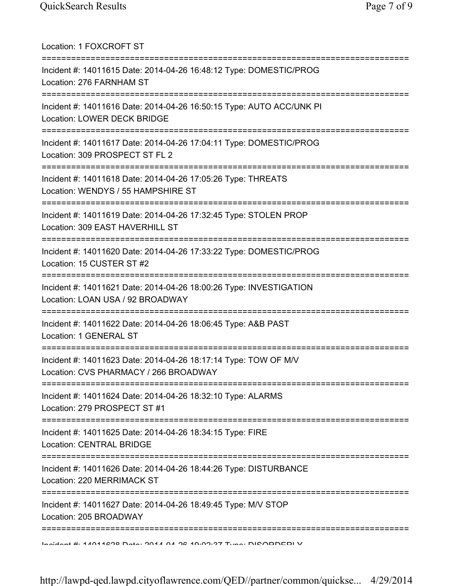| Location: 1 FOXCROFT ST                                                                                                            |
|------------------------------------------------------------------------------------------------------------------------------------|
| Incident #: 14011615 Date: 2014-04-26 16:48:12 Type: DOMESTIC/PROG<br>Location: 276 FARNHAM ST                                     |
| Incident #: 14011616 Date: 2014-04-26 16:50:15 Type: AUTO ACC/UNK PI<br>Location: LOWER DECK BRIDGE<br>========================    |
| Incident #: 14011617 Date: 2014-04-26 17:04:11 Type: DOMESTIC/PROG<br>Location: 309 PROSPECT ST FL 2                               |
| Incident #: 14011618 Date: 2014-04-26 17:05:26 Type: THREATS<br>Location: WENDYS / 55 HAMPSHIRE ST                                 |
| :==========================<br>Incident #: 14011619 Date: 2014-04-26 17:32:45 Type: STOLEN PROP<br>Location: 309 EAST HAVERHILL ST |
| Incident #: 14011620 Date: 2014-04-26 17:33:22 Type: DOMESTIC/PROG<br>Location: 15 CUSTER ST #2                                    |
| Incident #: 14011621 Date: 2014-04-26 18:00:26 Type: INVESTIGATION<br>Location: LOAN USA / 92 BROADWAY                             |
| Incident #: 14011622 Date: 2014-04-26 18:06:45 Type: A&B PAST<br>Location: 1 GENERAL ST                                            |
| Incident #: 14011623 Date: 2014-04-26 18:17:14 Type: TOW OF M/V<br>Location: CVS PHARMACY / 266 BROADWAY                           |
| Incident #: 14011624 Date: 2014-04-26 18:32:10 Type: ALARMS<br>Location: 279 PROSPECT ST #1                                        |
| Incident #: 14011625 Date: 2014-04-26 18:34:15 Type: FIRE<br><b>Location: CENTRAL BRIDGE</b>                                       |
| Incident #: 14011626 Date: 2014-04-26 18:44:26 Type: DISTURBANCE<br>Location: 220 MERRIMACK ST                                     |
| Incident #: 14011627 Date: 2014-04-26 18:49:45 Type: M/V STOP<br>Location: 205 BROADWAY                                            |
| Indident #: 44044290 Data: 2044 04 22 40:09:27 Tune: DICODDEDI V                                                                   |

http://lawpd-qed.lawpd.cityoflawrence.com/QED//partner/common/quickse... 4/29/2014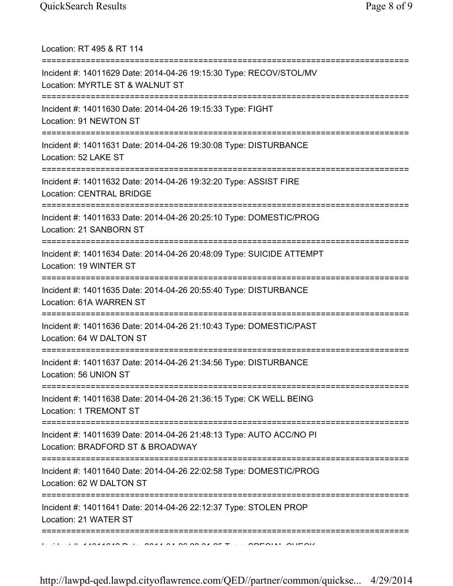| Location: RT 495 & RT 114                                                                                                                |
|------------------------------------------------------------------------------------------------------------------------------------------|
| Incident #: 14011629 Date: 2014-04-26 19:15:30 Type: RECOV/STOL/MV<br>Location: MYRTLE ST & WALNUT ST<br>============================    |
| Incident #: 14011630 Date: 2014-04-26 19:15:33 Type: FIGHT<br>Location: 91 NEWTON ST                                                     |
| Incident #: 14011631 Date: 2014-04-26 19:30:08 Type: DISTURBANCE<br>Location: 52 LAKE ST<br>=============================                |
| Incident #: 14011632 Date: 2014-04-26 19:32:20 Type: ASSIST FIRE<br><b>Location: CENTRAL BRIDGE</b>                                      |
| Incident #: 14011633 Date: 2014-04-26 20:25:10 Type: DOMESTIC/PROG<br>Location: 21 SANBORN ST                                            |
| Incident #: 14011634 Date: 2014-04-26 20:48:09 Type: SUICIDE ATTEMPT<br>Location: 19 WINTER ST                                           |
| ======================================<br>Incident #: 14011635 Date: 2014-04-26 20:55:40 Type: DISTURBANCE<br>Location: 61A WARREN ST    |
| ======================================<br>Incident #: 14011636 Date: 2014-04-26 21:10:43 Type: DOMESTIC/PAST<br>Location: 64 W DALTON ST |
| Incident #: 14011637 Date: 2014-04-26 21:34:56 Type: DISTURBANCE<br>Location: 56 UNION ST                                                |
| =====================================<br>Incident #: 14011638 Date: 2014-04-26 21:36:15 Type: CK WELL BEING<br>Location: 1 TREMONT ST    |
| Incident #: 14011639 Date: 2014-04-26 21:48:13 Type: AUTO ACC/NO PI<br>Location: BRADFORD ST & BROADWAY                                  |
| :========================<br>Incident #: 14011640 Date: 2014-04-26 22:02:58 Type: DOMESTIC/PROG<br>Location: 62 W DALTON ST              |
| Incident #: 14011641 Date: 2014-04-26 22:12:37 Type: STOLEN PROP<br>Location: 21 WATER ST                                                |
|                                                                                                                                          |